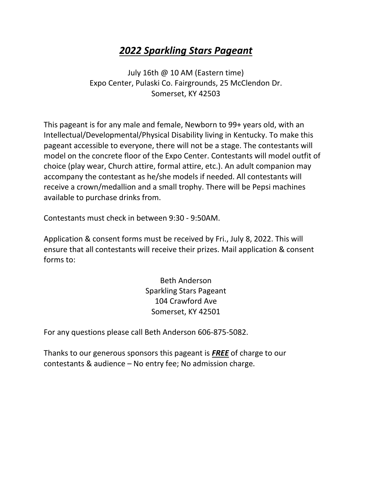### *2022 Sparkling Stars Pageant*

July 16th @ 10 AM (Eastern time) Expo Center, Pulaski Co. Fairgrounds, 25 McClendon Dr. Somerset, KY 42503

This pageant is for any male and female, Newborn to 99+ years old, with an Intellectual/Developmental/Physical Disability living in Kentucky. To make this pageant accessible to everyone, there will not be a stage. The contestants will model on the concrete floor of the Expo Center. Contestants will model outfit of choice (play wear, Church attire, formal attire, etc.). An adult companion may accompany the contestant as he/she models if needed. All contestants will receive a crown/medallion and a small trophy. There will be Pepsi machines available to purchase drinks from.

Contestants must check in between 9:30 - 9:50AM.

Application & consent forms must be received by Fri., July 8, 2022. This will ensure that all contestants will receive their prizes. Mail application & consent forms to:

> Beth Anderson Sparkling Stars Pageant 104 Crawford Ave Somerset, KY 42501

For any questions please call Beth Anderson 606-875-5082.

Thanks to our generous sponsors this pageant is *FREE* of charge to our contestants & audience – No entry fee; No admission charge.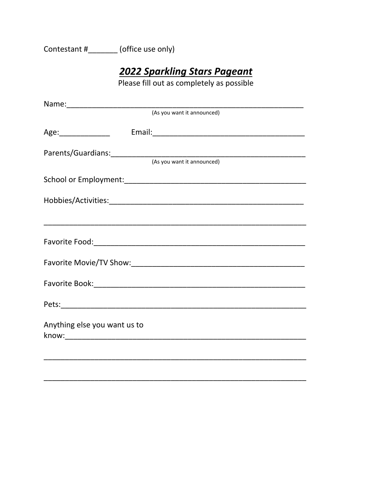Contestant #\_\_\_\_\_\_\_ (office use only)

## 2022 Sparkling Stars Pageant

Please fill out as completely as possible

|                              | (As you want it announced)                                  |
|------------------------------|-------------------------------------------------------------|
|                              |                                                             |
|                              | Parents/Guardians: (As you want it announced)               |
|                              |                                                             |
|                              |                                                             |
|                              |                                                             |
|                              |                                                             |
|                              |                                                             |
|                              |                                                             |
|                              |                                                             |
| Anything else you want us to |                                                             |
|                              | <u> 1989 - Johann Stoff, amerikansk politiker (d. 1989)</u> |
|                              |                                                             |